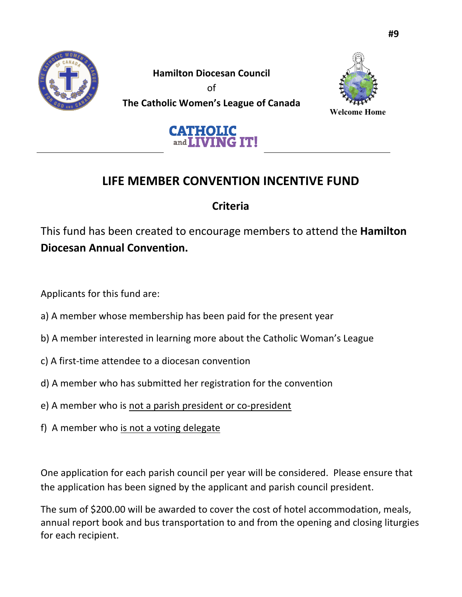

**Hamilton Diocesan Council** of **The Catholic Women's League of Canada**<br>Welcome Home





## **LIFE MEMBER CONVENTION INCENTIVE FUND**

### **Criteria**

This fund has been created to encourage members to attend the **Hamilton Diocesan Annual Convention.**

Applicants for this fund are:

- a) A member whose membership has been paid for the present year
- b) A member interested in learning more about the Catholic Woman's League
- c) A first-time attendee to a diocesan convention
- d) A member who has submitted her registration for the convention
- e) A member who is not a parish president or co-president
- f) A member who is not a voting delegate

One application for each parish council per year will be considered. Please ensure that the application has been signed by the applicant and parish council president.

The sum of \$200.00 will be awarded to cover the cost of hotel accommodation, meals, annual report book and bus transportation to and from the opening and closing liturgies for each recipient.